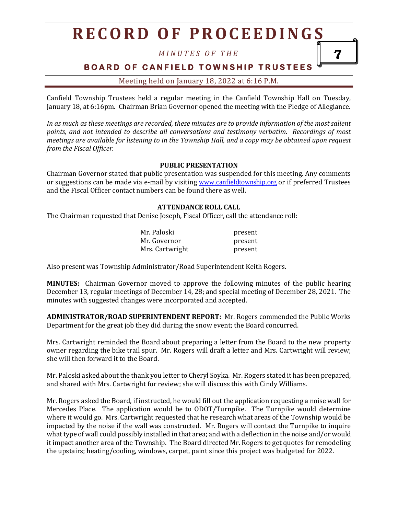*M I N U T E S O F T H E*

7

# **BOARD OF CANFIELD TOWNSHIP TRUSTEES**

Meeting held on January 18, 2022 at 6:16 P.M.

Canfield Township Trustees held a regular meeting in the Canfield Township Hall on Tuesday, January 18, at 6:16pm. Chairman Brian Governor opened the meeting with the Pledge of Allegiance.

*In as much as these meetings are recorded, these minutes are to provide information of the most salient points, and not intended to describe all conversations and testimony verbatim. Recordings of most meetings are available for listening to in the Township Hall, and a copy may be obtained upon request from the Fiscal Officer.*

#### **PUBLIC PRESENTATION**

Chairman Governor stated that public presentation was suspended for this meeting. Any comments or suggestions can be made via e-mail by visiting [www.canfieldtownship.org](http://www.canfieldtownship.org/) or if preferred Trustees and the Fiscal Officer contact numbers can be found there as well.

### **ATTENDANCE ROLL CALL**

The Chairman requested that Denise Joseph, Fiscal Officer, call the attendance roll:

| Mr. Paloski     | present |
|-----------------|---------|
| Mr. Governor    | present |
| Mrs. Cartwright | present |

Also present was Township Administrator/Road Superintendent Keith Rogers.

**MINUTES:** Chairman Governor moved to approve the following minutes of the public hearing December 13, regular meetings of December 14, 28; and special meeting of December 28, 2021. The minutes with suggested changes were incorporated and accepted.

**ADMINISTRATOR/ROAD SUPERINTENDENT REPORT:** Mr. Rogers commended the Public Works Department for the great job they did during the snow event; the Board concurred.

Mrs. Cartwright reminded the Board about preparing a letter from the Board to the new property owner regarding the bike trail spur. Mr. Rogers will draft a letter and Mrs. Cartwright will review; she will then forward it to the Board.

Mr. Paloski asked about the thank you letter to Cheryl Soyka. Mr. Rogers stated it has been prepared, and shared with Mrs. Cartwright for review; she will discuss this with Cindy Williams.

Mr. Rogers asked the Board, if instructed, he would fill out the application requesting a noise wall for Mercedes Place. The application would be to ODOT/Turnpike. The Turnpike would determine where it would go. Mrs. Cartwright requested that he research what areas of the Township would be impacted by the noise if the wall was constructed. Mr. Rogers will contact the Turnpike to inquire what type of wall could possibly installed in that area; and with a deflection in the noise and/or would it impact another area of the Township. The Board directed Mr. Rogers to get quotes for remodeling the upstairs; heating/cooling, windows, carpet, paint since this project was budgeted for 2022.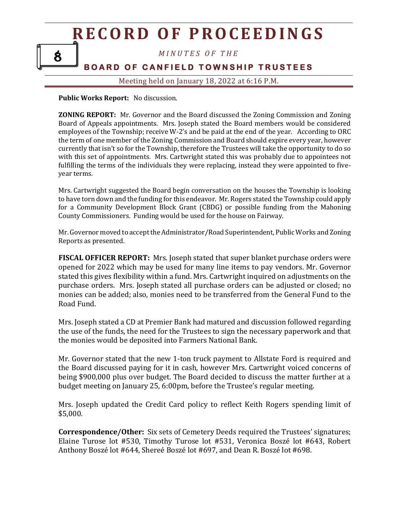# **R E C O R D O F P R O C E E D I N G S** *M I N U T E S O F T H E* **BOARD OF CANFIELD TOWNSHIP TRUSTEES** 8

Meeting held on January 18, 2022 at 6:16 P.M.

**Public Works Report:** No discussion.

**ZONING REPORT:** Mr. Governor and the Board discussed the Zoning Commission and Zoning Board of Appeals appointments. Mrs. Joseph stated the Board members would be considered employees of the Township; receive W-2's and be paid at the end of the year. According to ORC the term of one member of the Zoning Commission and Board should expire every year, however currently that isn't so for the Township, therefore the Trustees will take the opportunity to do so with this set of appointments. Mrs. Cartwright stated this was probably due to appointees not fulfilling the terms of the individuals they were replacing, instead they were appointed to fiveyear terms.

Mrs. Cartwright suggested the Board begin conversation on the houses the Township is looking to have torn down and the funding for this endeavor. Mr. Rogers stated the Township could apply for a Community Development Block Grant (CBDG) or possible funding from the Mahoning County Commissioners. Funding would be used for the house on Fairway.

Mr. Governor moved to accept the Administrator/Road Superintendent, Public Works and Zoning Reports as presented.

**FISCAL OFFICER REPORT:** Mrs. Joseph stated that super blanket purchase orders were opened for 2022 which may be used for many line items to pay vendors. Mr. Governor stated this gives flexibility within a fund. Mrs. Cartwright inquired on adjustments on the purchase orders. Mrs. Joseph stated all purchase orders can be adjusted or closed; no monies can be added; also, monies need to be transferred from the General Fund to the Road Fund.

Mrs. Joseph stated a CD at Premier Bank had matured and discussion followed regarding the use of the funds, the need for the Trustees to sign the necessary paperwork and that the monies would be deposited into Farmers National Bank.

Mr. Governor stated that the new 1-ton truck payment to Allstate Ford is required and the Board discussed paying for it in cash, however Mrs. Cartwright voiced concerns of being \$900,000 plus over budget. The Board decided to discuss the matter further at a budget meeting on January 25, 6:00pm, before the Trustee's regular meeting.

Mrs. Joseph updated the Credit Card policy to reflect Keith Rogers spending limit of \$5,000.

**Correspondence/Other:** Six sets of Cemetery Deeds required the Trustees' signatures; Elaine Turose lot #530, Timothy Turose lot #531, Veronica Boszé lot #643, Robert Anthony Boszé lot #644, Shereé Boszé lot #697, and Dean R. Boszé lot #698.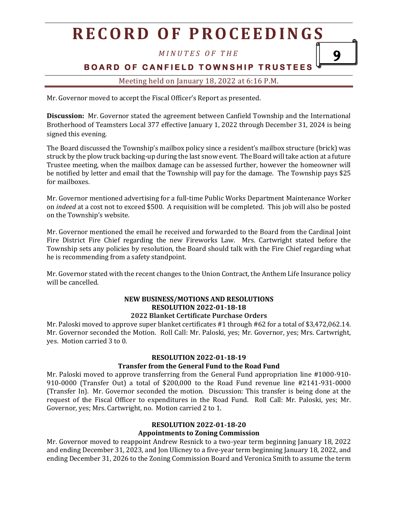*M I N U T E S O F T H E*

**BOARD OF CANFIELD TOWNSHIP TRUSTEES** 

9

# Meeting held on January 18, 2022 at 6:16 P.M.

Mr. Governor moved to accept the Fiscal Officer's Report as presented.

**Discussion:** Mr. Governor stated the agreement between Canfield Township and the International Brotherhood of Teamsters Local 377 effective January 1, 2022 through December 31, 2024 is being signed this evening.

The Board discussed the Township's mailbox policy since a resident's mailbox structure (brick) was struck by the plow truck backing-up during the last snow event. The Board will take action at a future Trustee meeting, when the mailbox damage can be assessed further, however the homeowner will be notified by letter and email that the Township will pay for the damage. The Township pays \$25 for mailboxes.

Mr. Governor mentioned advertising for a full-time Public Works Department Maintenance Worker on *indeed* at a cost not to exceed \$500. A requisition will be completed. This job will also be posted on the Township's website.

Mr. Governor mentioned the email he received and forwarded to the Board from the Cardinal Joint Fire District Fire Chief regarding the new Fireworks Law. Mrs. Cartwright stated before the Township sets any policies by resolution, the Board should talk with the Fire Chief regarding what he is recommending from a safety standpoint.

Mr. Governor stated with the recent changes to the Union Contract, the Anthem Life Insurance policy will be cancelled.

# **NEW BUSINESS/MOTIONS AND RESOLUTIONS RESOLUTION 2022-01-18-18**

### **2022 Blanket Certificate Purchase Orders**

Mr. Paloski moved to approve super blanket certificates #1 through #62 for a total of \$3,472,062.14. Mr. Governor seconded the Motion. Roll Call: Mr. Paloski, yes; Mr. Governor, yes; Mrs. Cartwright, yes. Motion carried 3 to 0.

# **RESOLUTION 2022-01-18-19**

# **Transfer from the General Fund to the Road Fund**

Mr. Paloski moved to approve transferring from the General Fund appropriation line #1000-910- 910-0000 (Transfer Out) a total of \$200,000 to the Road Fund revenue line #2141-931-0000 (Transfer In). Mr. Governor seconded the motion. Discussion: This transfer is being done at the request of the Fiscal Officer to expenditures in the Road Fund. Roll Call: Mr. Paloski, yes; Mr. Governor, yes; Mrs. Cartwright, no. Motion carried 2 to 1.

### **RESOLUTION 2022-01-18-20**

# **Appointments to Zoning Commission**

Mr. Governor moved to reappoint Andrew Resnick to a two-year term beginning January 18, 2022 and ending December 31, 2023, and Jon Ulicney to a five-year term beginning January 18, 2022, and ending December 31, 2026 to the Zoning Commission Board and Veronica Smith to assume the term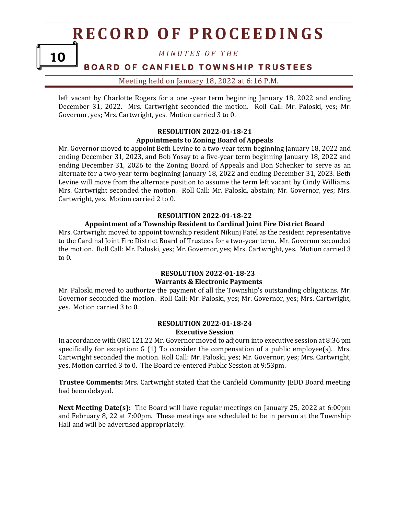10

*M I N U T E S O F T H E*

# **BOARD OF CANFIELD TOWNSHIP TRUSTEES**

Meeting held on January 18, 2022 at 6:16 P.M.

left vacant by Charlotte Rogers for a one -year term beginning January 18, 2022 and ending December 31, 2022. Mrs. Cartwright seconded the motion. Roll Call: Mr. Paloski, yes; Mr. Governor, yes; Mrs. Cartwright, yes. Motion carried 3 to 0.

#### **RESOLUTION 2022-01-18-21 Appointments to Zoning Board of Appeals**

Mr. Governor moved to appoint Beth Levine to a two-year term beginning January 18, 2022 and ending December 31, 2023, and Bob Yosay to a five-year term beginning January 18, 2022 and ending December 31, 2026 to the Zoning Board of Appeals and Don Schenker to serve as an alternate for a two-year term beginning January 18, 2022 and ending December 31, 2023. Beth Levine will move from the alternate position to assume the term left vacant by Cindy Williams. Mrs. Cartwright seconded the motion. Roll Call: Mr. Paloski, abstain; Mr. Governor, yes; Mrs. Cartwright, yes. Motion carried 2 to 0.

#### **RESOLUTION 2022-01-18-22**

#### **Appointment of a Township Resident to Cardinal Joint Fire District Board**

Mrs. Cartwright moved to appoint township resident Nikunj Patel as the resident representative to the Cardinal Joint Fire District Board of Trustees for a two-year term. Mr. Governor seconded the motion. Roll Call: Mr. Paloski, yes; Mr. Governor, yes; Mrs. Cartwright, yes. Motion carried 3 to 0.

### **RESOLUTION 2022-01-18-23 Warrants & Electronic Payments**

Mr. Paloski moved to authorize the payment of all the Township's outstanding obligations. Mr. Governor seconded the motion. Roll Call: Mr. Paloski, yes; Mr. Governor, yes; Mrs. Cartwright, yes. Motion carried 3 to 0.

#### **RESOLUTION 2022-01-18-24 Executive Session**

In accordance with ORC 121.22 Mr. Governor moved to adjourn into executive session at 8:36 pm specifically for exception: G (1) To consider the compensation of a public employee(s). Mrs. Cartwright seconded the motion. Roll Call: Mr. Paloski, yes; Mr. Governor, yes; Mrs. Cartwright, yes. Motion carried 3 to 0. The Board re-entered Public Session at 9:53pm.

**Trustee Comments:** Mrs. Cartwright stated that the Canfield Community JEDD Board meeting had been delayed.

**Next Meeting Date(s):** The Board will have regular meetings on January 25, 2022 at 6:00pm and February 8, 22 at 7:00pm. These meetings are scheduled to be in person at the Township Hall and will be advertised appropriately.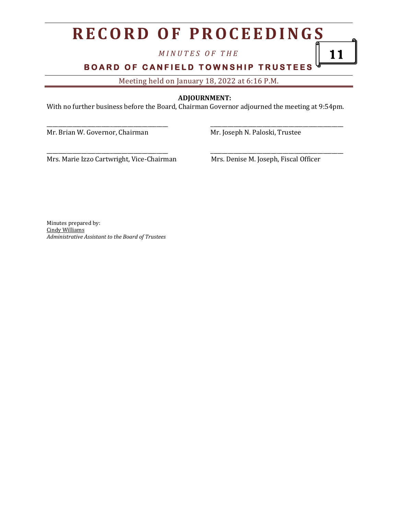*M I N U T E S O F T H E*

**BOARD OF CANFIELD TOWNSHIP TRUSTEES** 

Meeting held on January 18, 2022 at 6:16 P.M.

### **ADJOURNMENT:**

With no further business before the Board, Chairman Governor adjourned the meeting at 9:54pm.

\_\_\_\_\_\_\_\_\_\_\_\_\_\_\_\_\_\_\_\_\_\_\_\_\_\_\_\_\_\_\_\_\_\_\_\_\_\_\_\_\_\_ \_\_\_\_\_\_\_\_\_\_\_\_\_\_\_\_\_\_\_\_\_\_\_\_\_\_\_\_\_\_\_\_\_\_\_\_\_\_\_\_\_\_\_\_\_\_

Mr. Brian W. Governor, Chairman Mr. Joseph N. Paloski, Trustee

Mrs. Marie Izzo Cartwright, Vice-Chairman Mrs. Denise M. Joseph, Fiscal Officer

\_\_\_\_\_\_\_\_\_\_\_\_\_\_\_\_\_\_\_\_\_\_\_\_\_\_\_\_\_\_\_\_\_\_\_\_\_\_\_\_\_\_ \_\_\_\_\_\_\_\_\_\_\_\_\_\_\_\_\_\_\_\_\_\_\_\_\_\_\_\_\_\_\_\_\_\_\_\_\_\_\_\_\_\_\_\_\_\_

11

Minutes prepared by: Cindy Williams *Administrative Assistant to the Board of Trustees*